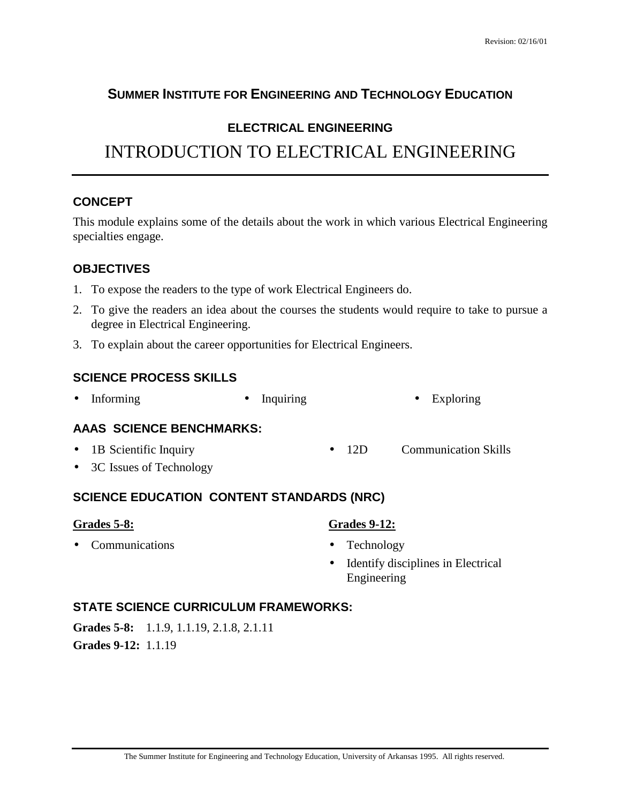# **SUMMER INSTITUTE FOR ENGINEERING AND TECHNOLOGY EDUCATION**

## **ELECTRICAL ENGINEERING**

# INTRODUCTION TO ELECTRICAL ENGINEERING

#### **CONCEPT**

This module explains some of the details about the work in which various Electrical Engineering specialties engage.

#### **OBJECTIVES**

- 1. To expose the readers to the type of work Electrical Engineers do.
- 2. To give the readers an idea about the courses the students would require to take to pursue a degree in Electrical Engineering.
- 3. To explain about the career opportunities for Electrical Engineers.

#### **SCIENCE PROCESS SKILLS**

• Informing • Inquiring • Exploring

#### **AAAS SCIENCE BENCHMARKS:**

- 1B Scientific Inquiry • 12D Communication Skills
- 3C Issues of Technology

#### **SCIENCE EDUCATION CONTENT STANDARDS (NRC)**

#### **Grades 5-8:**

• Communications

#### **Grades 9-12:**

- Technology
- Identify disciplines in Electrical Engineering

## **STATE SCIENCE CURRICULUM FRAMEWORKS:**

**Grades 5-8:** 1.1.9, 1.1.19, 2.1.8, 2.1.11 **Grades 9-12:** 1.1.19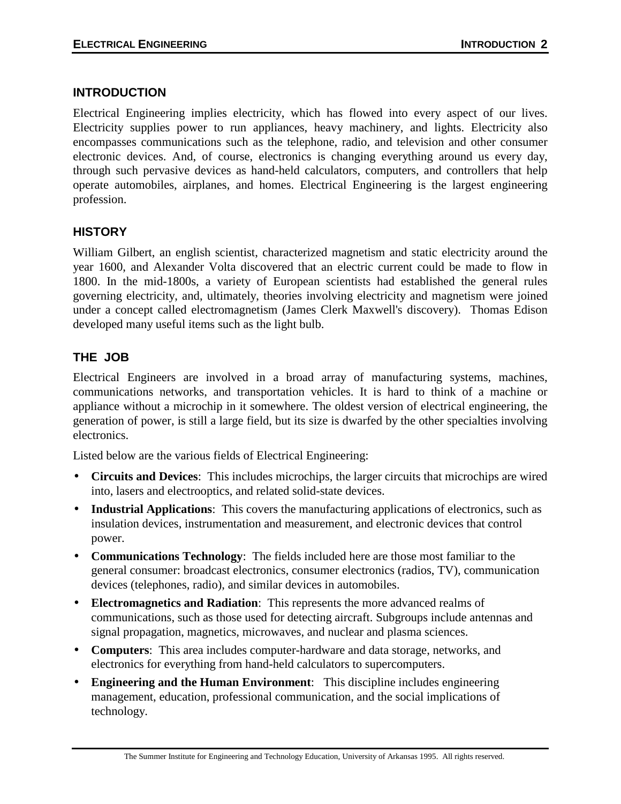#### **INTRODUCTION**

Electrical Engineering implies electricity, which has flowed into every aspect of our lives. Electricity supplies power to run appliances, heavy machinery, and lights. Electricity also encompasses communications such as the telephone, radio, and television and other consumer electronic devices. And, of course, electronics is changing everything around us every day, through such pervasive devices as hand-held calculators, computers, and controllers that help operate automobiles, airplanes, and homes. Electrical Engineering is the largest engineering profession.

## **HISTORY**

William Gilbert, an english scientist, characterized magnetism and static electricity around the year 1600, and Alexander Volta discovered that an electric current could be made to flow in 1800. In the mid-1800s, a variety of European scientists had established the general rules governing electricity, and, ultimately, theories involving electricity and magnetism were joined under a concept called electromagnetism (James Clerk Maxwell's discovery). Thomas Edison developed many useful items such as the light bulb.

## **THE JOB**

Electrical Engineers are involved in a broad array of manufacturing systems, machines, communications networks, and transportation vehicles. It is hard to think of a machine or appliance without a microchip in it somewhere. The oldest version of electrical engineering, the generation of power, is still a large field, but its size is dwarfed by the other specialties involving electronics.

Listed below are the various fields of Electrical Engineering:

- **Circuits and Devices**: This includes microchips, the larger circuits that microchips are wired into, lasers and electrooptics, and related solid-state devices.
- **Industrial Applications**: This covers the manufacturing applications of electronics, such as insulation devices, instrumentation and measurement, and electronic devices that control power.
- **Communications Technology**: The fields included here are those most familiar to the general consumer: broadcast electronics, consumer electronics (radios, TV), communication devices (telephones, radio), and similar devices in automobiles.
- **Electromagnetics and Radiation**: This represents the more advanced realms of communications, such as those used for detecting aircraft. Subgroups include antennas and signal propagation, magnetics, microwaves, and nuclear and plasma sciences.
- **Computers**: This area includes computer-hardware and data storage, networks, and electronics for everything from hand-held calculators to supercomputers.
- **Engineering and the Human Environment**: This discipline includes engineering management, education, professional communication, and the social implications of technology.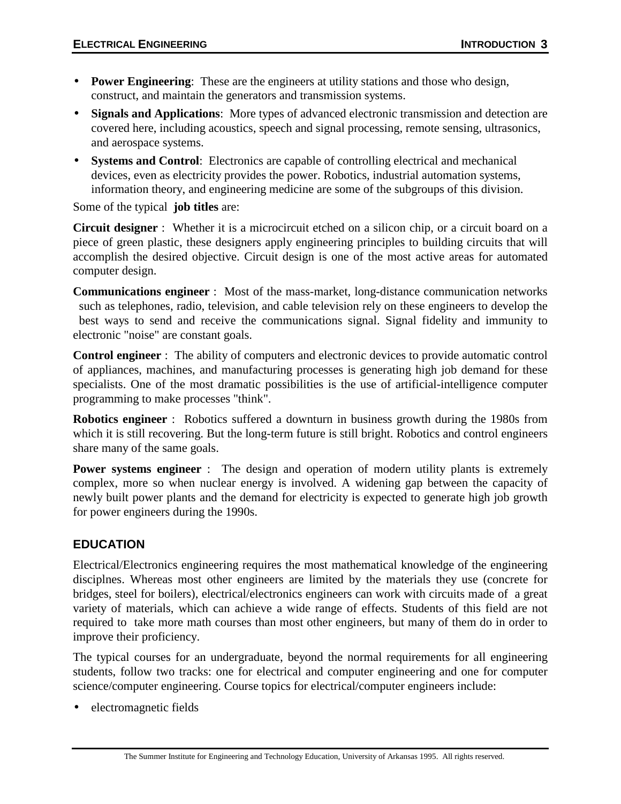- **Power Engineering**: These are the engineers at utility stations and those who design, construct, and maintain the generators and transmission systems.
- **Signals and Applications**: More types of advanced electronic transmission and detection are covered here, including acoustics, speech and signal processing, remote sensing, ultrasonics, and aerospace systems.
- **Systems and Control**: Electronics are capable of controlling electrical and mechanical devices, even as electricity provides the power. Robotics, industrial automation systems, information theory, and engineering medicine are some of the subgroups of this division.

Some of the typical **job titles** are:

**Circuit designer** : Whether it is a microcircuit etched on a silicon chip, or a circuit board on a piece of green plastic, these designers apply engineering principles to building circuits that will accomplish the desired objective. Circuit design is one of the most active areas for automated computer design.

**Communications engineer** : Most of the mass-market, long-distance communication networks such as telephones, radio, television, and cable television rely on these engineers to develop the best ways to send and receive the communications signal. Signal fidelity and immunity to electronic "noise" are constant goals.

**Control engineer** : The ability of computers and electronic devices to provide automatic control of appliances, machines, and manufacturing processes is generating high job demand for these specialists. One of the most dramatic possibilities is the use of artificial-intelligence computer programming to make processes "think".

**Robotics engineer** : Robotics suffered a downturn in business growth during the 1980s from which it is still recovering. But the long-term future is still bright. Robotics and control engineers share many of the same goals.

**Power systems engineer** : The design and operation of modern utility plants is extremely complex, more so when nuclear energy is involved. A widening gap between the capacity of newly built power plants and the demand for electricity is expected to generate high job growth for power engineers during the 1990s.

## **EDUCATION**

Electrical/Electronics engineering requires the most mathematical knowledge of the engineering disciplnes. Whereas most other engineers are limited by the materials they use (concrete for bridges, steel for boilers), electrical/electronics engineers can work with circuits made of a great variety of materials, which can achieve a wide range of effects. Students of this field are not required to take more math courses than most other engineers, but many of them do in order to improve their proficiency.

The typical courses for an undergraduate, beyond the normal requirements for all engineering students, follow two tracks: one for electrical and computer engineering and one for computer science/computer engineering. Course topics for electrical/computer engineers include:

• electromagnetic fields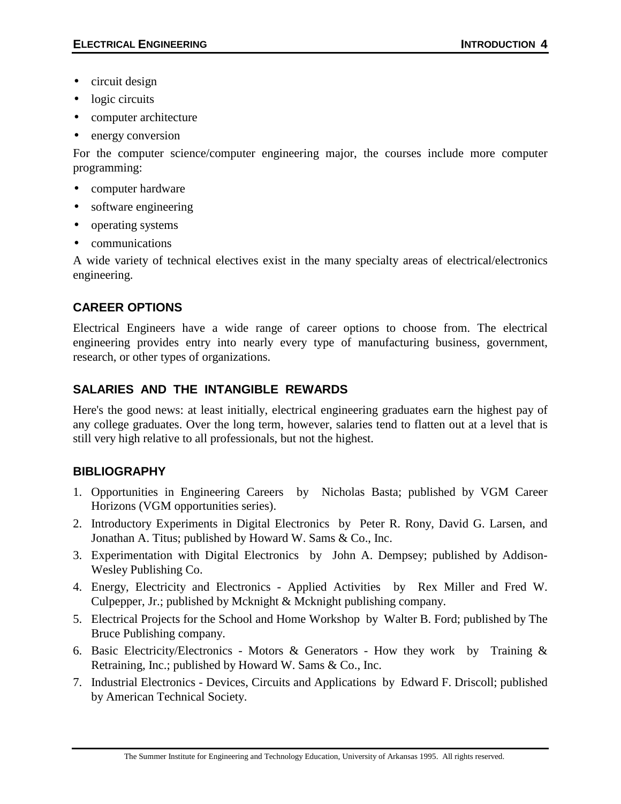- circuit design
- logic circuits
- computer architecture
- energy conversion

For the computer science/computer engineering major, the courses include more computer programming:

- computer hardware
- software engineering
- operating systems
- communications

A wide variety of technical electives exist in the many specialty areas of electrical/electronics engineering.

## **CAREER OPTIONS**

Electrical Engineers have a wide range of career options to choose from. The electrical engineering provides entry into nearly every type of manufacturing business, government, research, or other types of organizations.

# **SALARIES AND THE INTANGIBLE REWARDS**

Here's the good news: at least initially, electrical engineering graduates earn the highest pay of any college graduates. Over the long term, however, salaries tend to flatten out at a level that is still very high relative to all professionals, but not the highest.

## **BIBLIOGRAPHY**

- 1. Opportunities in Engineering Careers by Nicholas Basta; published by VGM Career Horizons (VGM opportunities series).
- 2. Introductory Experiments in Digital Electronics by Peter R. Rony, David G. Larsen, and Jonathan A. Titus; published by Howard W. Sams & Co., Inc.
- 3. Experimentation with Digital Electronics by John A. Dempsey; published by Addison-Wesley Publishing Co.
- 4. Energy, Electricity and Electronics Applied Activities by Rex Miller and Fred W. Culpepper, Jr.; published by Mcknight & Mcknight publishing company.
- 5. Electrical Projects for the School and Home Workshop by Walter B. Ford; published by The Bruce Publishing company.
- 6. Basic Electricity/Electronics Motors & Generators How they work by Training & Retraining, Inc.; published by Howard W. Sams & Co., Inc.
- 7. Industrial Electronics Devices, Circuits and Applications by Edward F. Driscoll; published by American Technical Society.